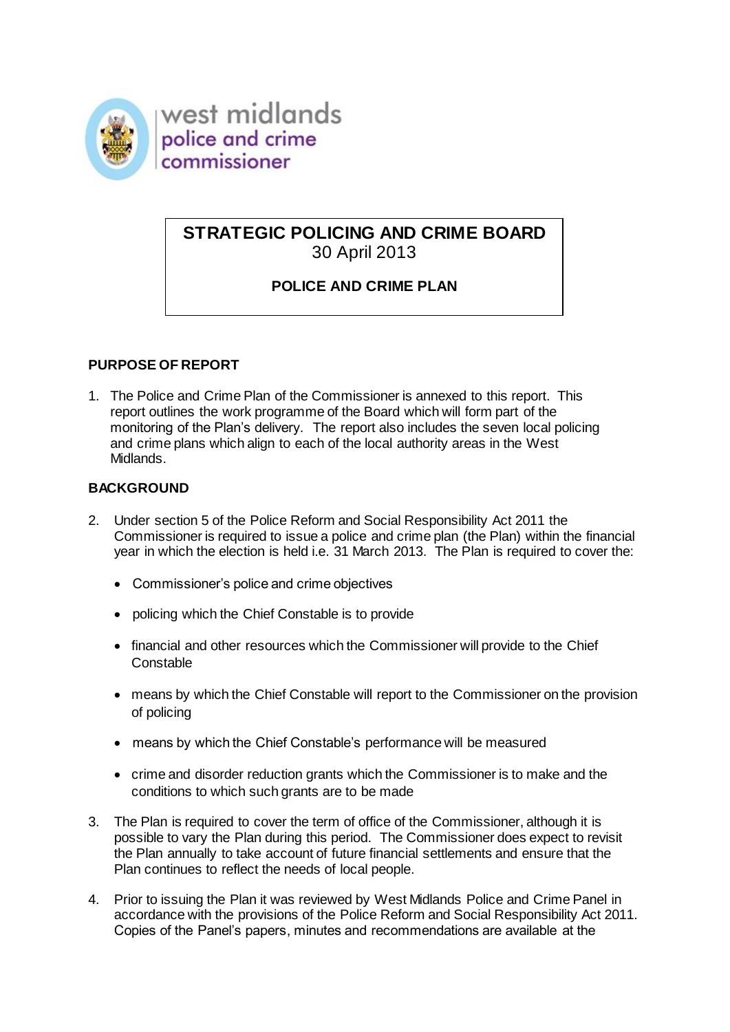

west midlands police and crime commissioner

# **STRATEGIC POLICING AND CRIME BOARD** 30 April 2013

## **POLICE AND CRIME PLAN**

### **PURPOSE OF REPORT**

1. The Police and Crime Plan of the Commissioner is annexed to this report. This report outlines the work programme of the Board which will form part of the monitoring of the Plan's delivery. The report also includes the seven local policing and crime plans which align to each of the local authority areas in the West Midlands.

#### **BACKGROUND**

- 2. Under section 5 of the Police Reform and Social Responsibility Act 2011 the Commissioner is required to issue a police and crime plan (the Plan) within the financial year in which the election is held i.e. 31 March 2013. The Plan is required to cover the:
	- Commissioner's police and crime objectives
	- policing which the Chief Constable is to provide
	- financial and other resources which the Commissioner will provide to the Chief **Constable**
	- means by which the Chief Constable will report to the Commissioner on the provision of policing
	- means by which the Chief Constable's performance will be measured
	- crime and disorder reduction grants which the Commissioner is to make and the conditions to which such grants are to be made
- 3. The Plan is required to cover the term of office of the Commissioner, although it is possible to vary the Plan during this period. The Commissioner does expect to revisit the Plan annually to take account of future financial settlements and ensure that the Plan continues to reflect the needs of local people.
- 4. Prior to issuing the Plan it was reviewed by West Midlands Police and Crime Panel in accordance with the provisions of the Police Reform and Social Responsibility Act 2011. Copies of the Panel's papers, minutes and recommendations are available at the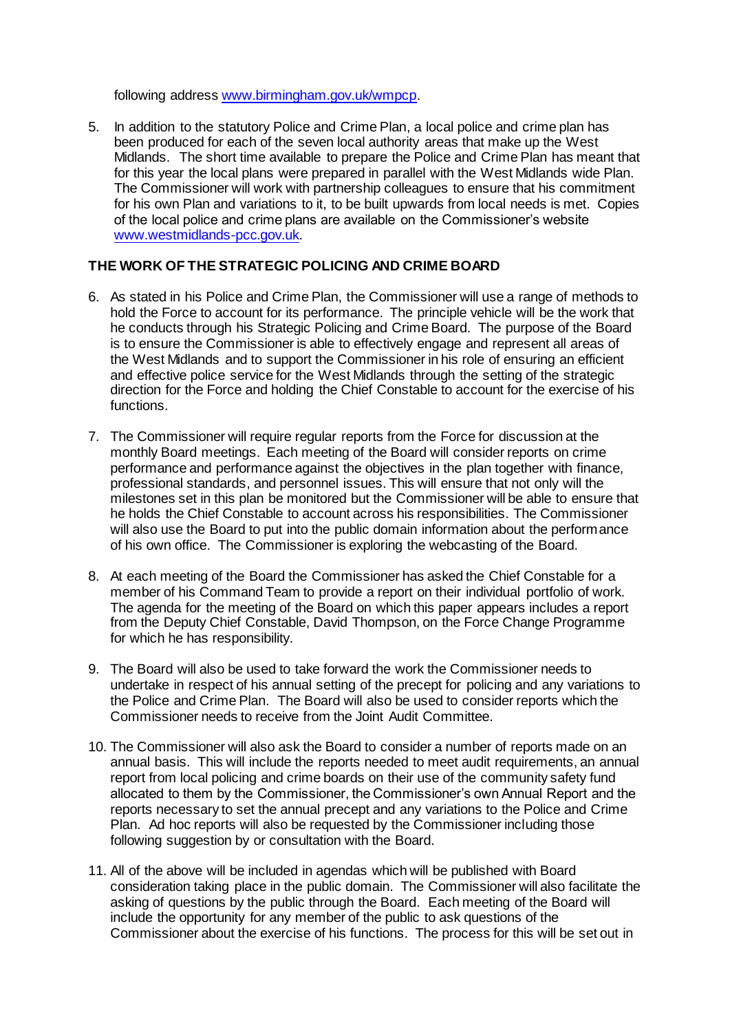following address [www.birmingham.gov.uk/wmpcp.](http://www.birmingham.gov.uk/wmpcp)

5. In addition to the statutory Police and Crime Plan, a local police and crime plan has been produced for each of the seven local authority areas that make up the West Midlands. The short time available to prepare the Police and Crime Plan has meant that for this year the local plans were prepared in parallel with the West Midlands wide Plan. The Commissioner will work with partnership colleagues to ensure that his commitment for his own Plan and variations to it, to be built upwards from local needs is met. Copies of the local police and crime plans are available on the Commissioner's website [www.westmidlands-pcc.gov.uk.](http://www.westmidlands-pcc.gov.uk/)

#### **THE WORK OF THE STRATEGIC POLICING AND CRIME BOARD**

- 6. As stated in his Police and Crime Plan, the Commissioner will use a range of methods to hold the Force to account for its performance. The principle vehicle will be the work that he conducts through his Strategic Policing and Crime Board. The purpose of the Board is to ensure the Commissioner is able to effectively engage and represent all areas of the West Midlands and to support the Commissioner in his role of ensuring an efficient and effective police service for the West Midlands through the setting of the strategic direction for the Force and holding the Chief Constable to account for the exercise of his functions.
- 7. The Commissioner will require regular reports from the Force for discussion at the monthly Board meetings. Each meeting of the Board will consider reports on crime performance and performance against the objectives in the plan together with finance, professional standards, and personnel issues. This will ensure that not only will the milestones set in this plan be monitored but the Commissioner will be able to ensure that he holds the Chief Constable to account across his responsibilities. The Commissioner will also use the Board to put into the public domain information about the performance of his own office. The Commissioner is exploring the webcasting of the Board.
- 8. At each meeting of the Board the Commissioner has asked the Chief Constable for a member of his Command Team to provide a report on their individual portfolio of work. The agenda for the meeting of the Board on which this paper appears includes a report from the Deputy Chief Constable, David Thompson, on the Force Change Programme for which he has responsibility.
- 9. The Board will also be used to take forward the work the Commissioner needs to undertake in respect of his annual setting of the precept for policing and any variations to the Police and Crime Plan. The Board will also be used to consider reports which the Commissioner needs to receive from the Joint Audit Committee.
- 10. The Commissioner will also ask the Board to consider a number of reports made on an annual basis. This will include the reports needed to meet audit requirements, an annual report from local policing and crime boards on their use of the community safety fund allocated to them by the Commissioner, the Commissioner's own Annual Report and the reports necessary to set the annual precept and any variations to the Police and Crime Plan. Ad hoc reports will also be requested by the Commissioner including those following suggestion by or consultation with the Board.
- 11. All of the above will be included in agendas which will be published with Board consideration taking place in the public domain. The Commissioner will also facilitate the asking of questions by the public through the Board. Each meeting of the Board will include the opportunity for any member of the public to ask questions of the Commissioner about the exercise of his functions. The process for this will be set out in